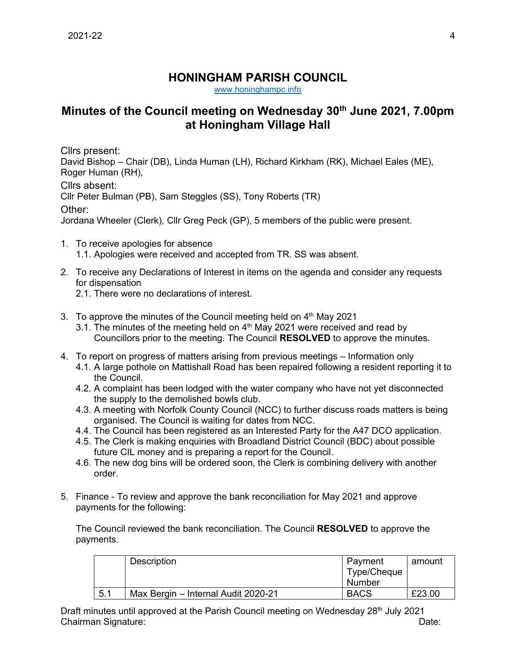## **HONINGHAM PARISH COUNCIL**

[www.honinghampc.info](http://www.honinghampc.info/)

## **Minutes of the Council meeting on Wednesday 30th June 2021, 7.00pm at Honingham Village Hall**

Cllrs present:

David Bishop – Chair (DB), Linda Human (LH), Richard Kirkham (RK), Michael Eales (ME), Roger Human (RH),

Cllrs absent:

Cllr Peter Bulman (PB), Sam Steggles (SS), Tony Roberts (TR)

Other:

Jordana Wheeler (Clerk), Cllr Greg Peck (GP), 5 members of the public were present.

- 1. To receive apologies for absence 1.1. Apologies were received and accepted from TR. SS was absent.
- 2. To receive any Declarations of Interest in items on the agenda and consider any requests for dispensation
	- 2.1. There were no declarations of interest.
- 3. To approve the minutes of the Council meeting held on  $4<sup>th</sup>$  May 2021
	- 3.1. The minutes of the meeting held on  $4<sup>th</sup>$  May 2021 were received and read by Councillors prior to the meeting. The Council **RESOLVED** to approve the minutes.
- 4. To report on progress of matters arising from previous meetings Information only
	- 4.1. A large pothole on Mattishall Road has been repaired following a resident reporting it to the Council.
	- 4.2. A complaint has been lodged with the water company who have not yet disconnected the supply to the demolished bowls club.
	- 4.3. A meeting with Norfolk County Council (NCC) to further discuss roads matters is being organised. The Council is waiting for dates from NCC.
	- 4.4. The Council has been registered as an Interested Party for the A47 DCO application.
	- 4.5. The Clerk is making enquiries with Broadland District Council (BDC) about possible future CIL money and is preparing a report for the Council.
	- 4.6. The new dog bins will be ordered soon, the Clerk is combining delivery with another order.
- 5. Finance To review and approve the bank reconciliation for May 2021 and approve payments for the following:

The Council reviewed the bank reconciliation. The Council **RESOLVED** to approve the payments.

|     | <b>Description</b>                  | Payment<br>Type/Cheque<br>Number | amount |
|-----|-------------------------------------|----------------------------------|--------|
| 5.1 | Max Bergin - Internal Audit 2020-21 | <b>BACS</b>                      | £23.00 |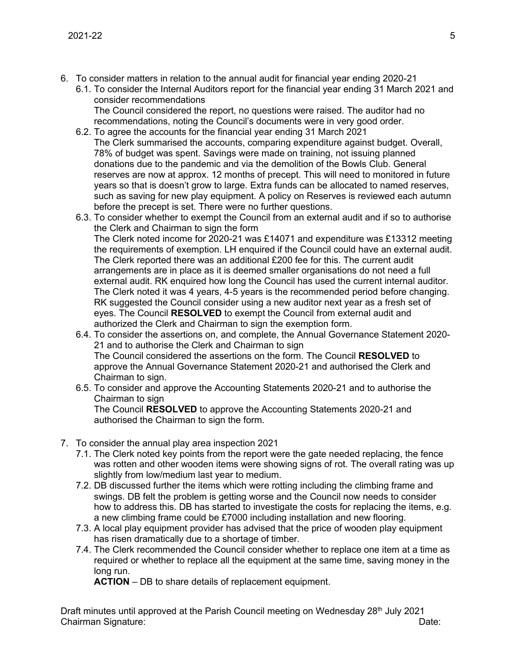- 6. To consider matters in relation to the annual audit for financial year ending 2020-21
	- 6.1. To consider the Internal Auditors report for the financial year ending 31 March 2021 and consider recommendations The Council considered the report, no questions were raised. The auditor had no
	- recommendations, noting the Council's documents were in very good order. 6.2. To agree the accounts for the financial year ending 31 March 2021 The Clerk summarised the accounts, comparing expenditure against budget. Overall, 78% of budget was spent. Savings were made on training, not issuing planned donations due to the pandemic and via the demolition of the Bowls Club. General reserves are now at approx. 12 months of precept. This will need to monitored in future years so that is doesn't grow to large. Extra funds can be allocated to named reserves, such as saving for new play equipment. A policy on Reserves is reviewed each autumn before the precept is set. There were no further questions.
	- 6.3. To consider whether to exempt the Council from an external audit and if so to authorise the Clerk and Chairman to sign the form The Clerk noted income for 2020-21 was £14071 and expenditure was £13312 meeting the requirements of exemption. LH enquired if the Council could have an external audit. The Clerk reported there was an additional £200 fee for this. The current audit arrangements are in place as it is deemed smaller organisations do not need a full external audit. RK enquired how long the Council has used the current internal auditor. The Clerk noted it was 4 years, 4-5 years is the recommended period before changing. RK suggested the Council consider using a new auditor next year as a fresh set of eyes. The Council **RESOLVED** to exempt the Council from external audit and authorized the Clerk and Chairman to sign the exemption form.
	- 6.4. To consider the assertions on, and complete, the Annual Governance Statement 2020- 21 and to authorise the Clerk and Chairman to sign The Council considered the assertions on the form. The Council **RESOLVED** to approve the Annual Governance Statement 2020-21 and authorised the Clerk and Chairman to sign.
	- 6.5. To consider and approve the Accounting Statements 2020-21 and to authorise the Chairman to sign The Council **RESOLVED** to approve the Accounting Statements 2020-21 and authorised the Chairman to sign the form.
- 7. To consider the annual play area inspection 2021
	- 7.1. The Clerk noted key points from the report were the gate needed replacing, the fence was rotten and other wooden items were showing signs of rot. The overall rating was up slightly from low/medium last year to medium.
	- 7.2. DB discussed further the items which were rotting including the climbing frame and swings. DB felt the problem is getting worse and the Council now needs to consider how to address this. DB has started to investigate the costs for replacing the items, e.g. a new climbing frame could be £7000 including installation and new flooring.
	- 7.3. A local play equipment provider has advised that the price of wooden play equipment has risen dramatically due to a shortage of timber.
	- 7.4. The Clerk recommended the Council consider whether to replace one item at a time as required or whether to replace all the equipment at the same time, saving money in the long run.

**ACTION** – DB to share details of replacement equipment.

Draft minutes until approved at the Parish Council meeting on Wednesday 28<sup>th</sup> July 2021 Chairman Signature: Date: Date: Date: Date: Date: Date: Date: Date: Date: Date: Date: Date: Date: Date: Date: Date: Date: Date: Date: Date: Date: Date: Date: Date: Date: Date: Date: Date: Date: Date: Date: Date: Date: Date